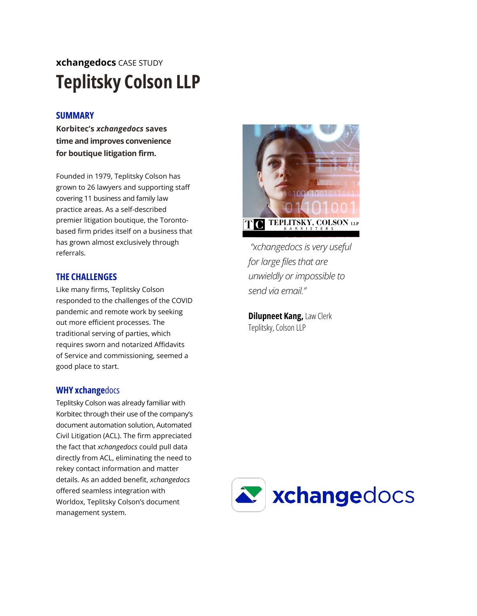# **xchangedocs** CASE STUDY **Teplitsky Colson LLP**

# **SUMMARY**

**Korbitec's** *xchangedocs* **saves time and improves convenience for boutique litigation firm.**

Founded in 1979, Teplitsky Colson has grown to 26 lawyers and supporting staff covering 11 business and family law practice areas. As a self-described premier litigation boutique, the Torontobased firm prides itself on a business that has grown almost exclusively through referrals.

## **THE CHALLENGES**

Like many firms, Teplitsky Colson responded to the challenges of the COVID pandemic and remote work by seeking out more efficient processes. The traditional serving of parties, which requires sworn and notarized Affidavits of Service and commissioning, seemed a good place to start.

### **WHY xchange**docs

Teplitsky Colson was already familiar with Korbitec through their use of the company's document automation solution, Automated Civil Litigation (ACL). The firm appreciated the fact that *xchangedocs* could pull data directly from ACL, eliminating the need to rekey contact information and matter details. As an added benefit, *xchangedocs* offered seamless integration with Worldox, Teplitsky Colson's document management system.



*"xchangedocs is very useful for large files that are unwieldly or impossible to send via email."*

**Dilupneet Kang,** Law Clerk Teplitsky, Colson LLP